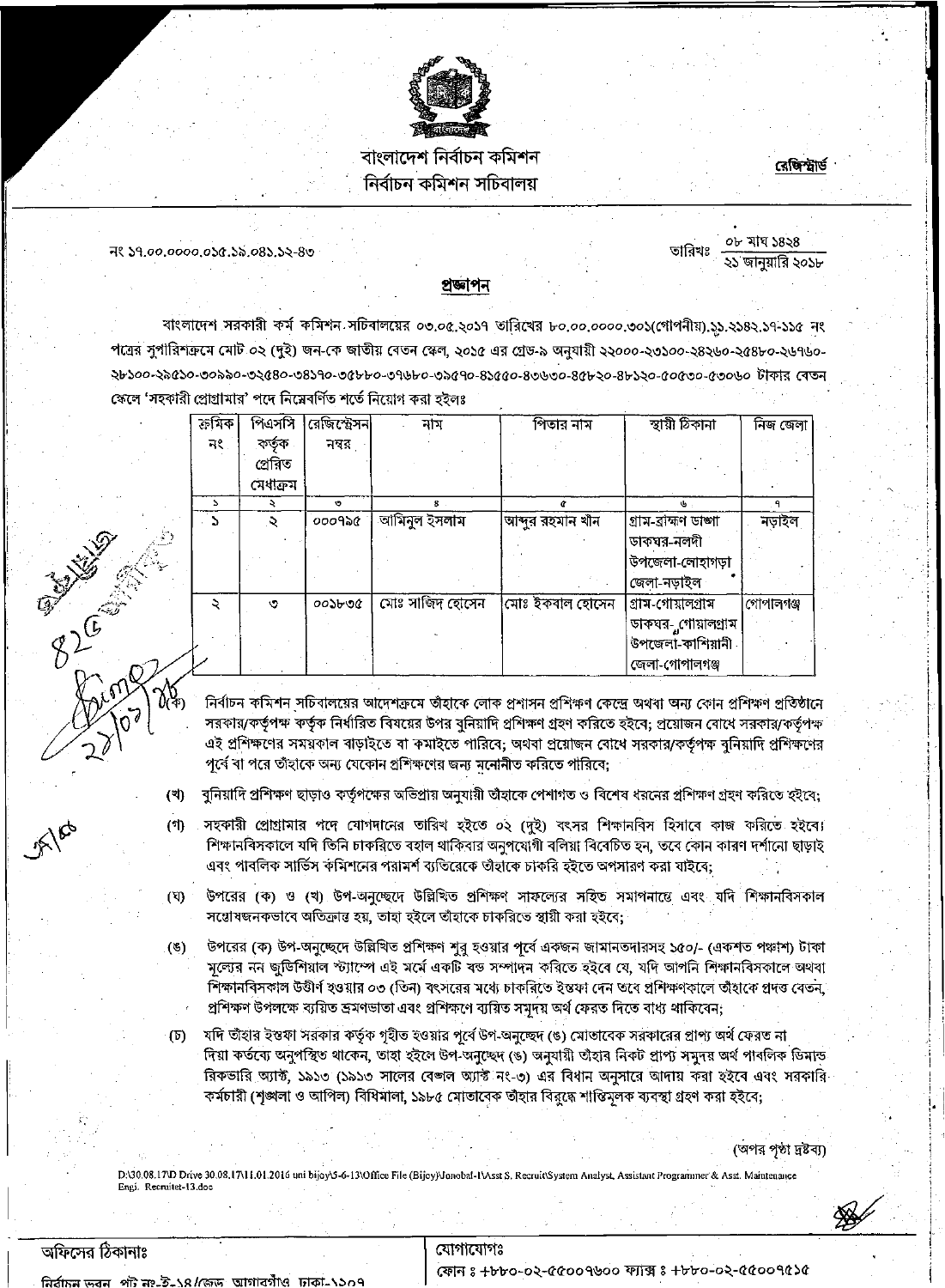

## বাংলাদেশ নিৰ্বাচন কমিশন নিৰ্বাচন কমিশন সচিবালয়

## <u>রেজিস্টার্ড</u>

নং ১৭.০০.০০০০.০১৫.১৯.০৪১.১২-৪৩

০৮ মাঘ ১৪২৪ তারিখঃ ২১ জানুয়ারি ২০১৮

প্ৰজ্ঞাপন

বাংলাদেশ সরকারী কর্ম কমিশন সচিবালয়ের ০৩.০৫.২০১৭ তারিখের ৮০.০০.০০০০.৩০১(গোপনীয়).১১.২১৪২.১৭-১১৫ নং পত্রের সুপারিশত্রুমে মোট ০২ (দুই) জন-কে জাতীয় বেতন স্কেল, ২০১৫ এর গ্রেড-৯ অনুযায়ী ২২০০০-২৩১০০-২৪২৬০-২৫৪৮০-২৬৭৬০-২৮১০০-২৯৫১০-৩০৯৯০-৩২৫৪০-৩৪১৭০-৩৫৮৮০-৩৭৬৮০-৩৯৫৭০-৪১৫৫০-৪৩৬৩০-৪৫৮২০-৪৮১২০-৫০৫৩০-৫৩০৬০ টাকার বেতন স্কেলে 'সহকারী প্রোগ্রামার' পদে নিম্নেবর্ণিত শর্তে নিয়োগ করা হইলঃ

| ক্ৰমিক | পিএসসি   | রেজিস্ট্রেসন | নাম             | পিতার নাম         | স্থায়ী ঠিকানা     | নিজ জেলা  |
|--------|----------|--------------|-----------------|-------------------|--------------------|-----------|
| নং     | কৰ্তৃক   | নসর          |                 |                   |                    |           |
|        | প্ৰেৰিত  |              |                 |                   |                    |           |
|        | মেধাক্রম |              |                 |                   |                    |           |
|        |          | $\circ$      | 8               |                   | ιb,                |           |
| . ১    | Š.       | ooogse       | আমিনুল ইসলাম    | আব্দুর রহমান খাঁন | গ্ৰাম-ৱাহ্মণ ডাজা  | নড়াইল    |
|        |          |              |                 |                   | ডাকঘৰ-নলদী         |           |
|        |          |              |                 |                   | উপজেলা-লোহাগড়া    |           |
|        |          |              |                 |                   | জেলা-নডাইল         |           |
|        | O        | $00$ deno    | মোঃ সাজিদ হোসেন | মোঃ ইকবাল হোসেন   | গ্ৰাম-গোয়ালগ্ৰাম  | গোপালগঞ্জ |
|        |          |              |                 |                   | ডাকঘর- গোয়ালগ্রাম |           |
|        |          |              |                 |                   | উপজেলা-কাশিয়ানী   |           |
|        |          |              |                 |                   | জেলা-গোপালগঞ্জ     |           |

নির্বাচন কমিশন সচিবালয়ের আদেশক্রমে তাঁহাকে লোক প্রশাসন প্রশিক্ষণ কেন্দ্রে অথবা অন্য কোন প্রশিক্ষণ প্রতিষ্ঠানে সরকার/কর্তৃপক্ষ কর্তৃক নির্ধারিত বিষয়ের উপর বুনিয়াদি প্রশিক্ষণ গ্রহণ করিতে হইবে; প্রয়োজন বোধে সরকার/কর্তৃপক্ষ এই প্রশিক্ষণের সময়কাল বাড়াইতে বা কমাইতে পারিবে; অথবা প্রয়োজন বোধে সরকার/কর্তৃপক্ষ বুনিয়াদি প্রশিক্ষণের পূর্বে বা পরে তাঁহাকে অন্য যেকোন প্রশিক্ষণের জন্য মুনোনীত করিতে পারিবে;

- বুনিয়াদি প্রশিক্ষণ ছাড়াও কর্তৃপক্ষের অভিপ্রায় অনুযায়ী তাঁহাকে পেশাগত ও বিশেষ ধরনের প্রশিক্ষণ গ্রহণ করিতে হইবে; (খ)
- সহকারী প্রোগ্রামার পদে যোগদানের তারিখ হইতে ০২ (দুই) বৎসর শিক্ষানবিস হিসাবে কাজ করিতে হইবে। (গ) শিক্ষানবিসকালে যদি তিনি চাকরিতে বহাল থাকিবার অনুপযোগী বলিয়া বিবেচিত হন, তবে কোন কারণ দর্শানো ছাড়াই এবং পাবলিক সার্ভিস কমিশনের পরামর্শ ব্যতিরেকে তাঁহাকে চাকরি হইতে অপসারণ করা যাইবে;
- উপরের (ক) ও (খ) উপ-অনুচ্ছেদে উল্লিখিত প্রশিক্ষণ সাফল্যের সহিত সমাপনান্তে এবং যদি শিক্ষানবিসকাল (ঘ)  $\blacksquare$ সয়োষজনকভাবে অতিক্রান্ত হয়, তাহা হইলে তাঁহাকে চাকরিতে স্থায়ী করা হইবে;
- উপরের (ক) উপ-অনুচ্ছেদে উল্লিখিত প্রশিক্ষণ শুরু হওয়ার পূর্বে একজন জামানতদারসহ ১৫০/- (একশত পঞ্চাশ) টাকা  $(8)$ সূল্যের নন জুডিশিয়াল স্ট্যাম্পে এই মর্মে একটি বন্ড সম্পাদন করিতে হইবে যে, যদি আপনি শিক্ষানবিসকালে অথবা শিক্ষানবিসকাল উত্তীর্ণ হওয়ার ০৩ (তিন) বৎসরের মধ্যে চাকরিতে ইন্তফা দেন তবে প্রশিক্ষণকালে তাঁহাকে প্রদত্ত বেতন, প্ৰশিক্ষণ উপলক্ষে ব্যয়িত ভ্ৰমণভাতা এবং প্ৰশিক্ষণে ব্যয়িত সমুদয় অৰ্থ ফেরত দিতে বাধ্য থাকিবেন;
- (চ) যদি তাঁহার ইস্তফা সরকার কর্তৃক গৃহীত হওয়ার পূর্বে উপ-অনুচ্ছেদ (ঙ) মোতাবেক সরকারের প্রাপ্য অর্থ ফেরত না দিয়া কর্তব্যে অনুপস্থিত থাকেন, তাহা হইলে উপ-অনুচ্ছেদ (ঙ) অনুযায়ী তাঁহার নিকট প্রাপ্য সমুদয় অর্থ পাবলিক ডিমান্ড রিকভারি অ্যাক্ট, ১৯১৩ (১৯১৩ সালের বেশ্বল অ্যাক্ট নং-৩) এর বিধান অনুসারে আদায় করা হইবে এবং সরকারি কর্মচারী (শৃঙ্খলা ও আপিল) বিধিমালা, ১৯৮৫ মোতাবেক তাঁহার বিরুদ্ধে শান্তিমূলক ব্যবস্থা গ্রহণ করা হইবে;

(অপর পৃষ্ঠা দ্রষ্টব্য)

D:\30.08.17\D Drive 30.08.17\11.01.2016 uni bijoy\5-6-13\Office File (Bijoy)\Jonobal-1\Asst S. Recruit\System Analyst, Assistant Programmer & Asst. Maintenance Engi. Recruitet-13.doc

B LE MARY

যোগাযোগঃ

ফোন ঃ +৮৮০-০২-৫৫০০৭৬০০ ফ্যাক্স ঃ +৮৮০-০২-৫৫০০৭৫১৫

নিৰ্বাচন ভবন পট নং-ই-১৪/জেড আগাবগাঁও ঢাকা-১১০৭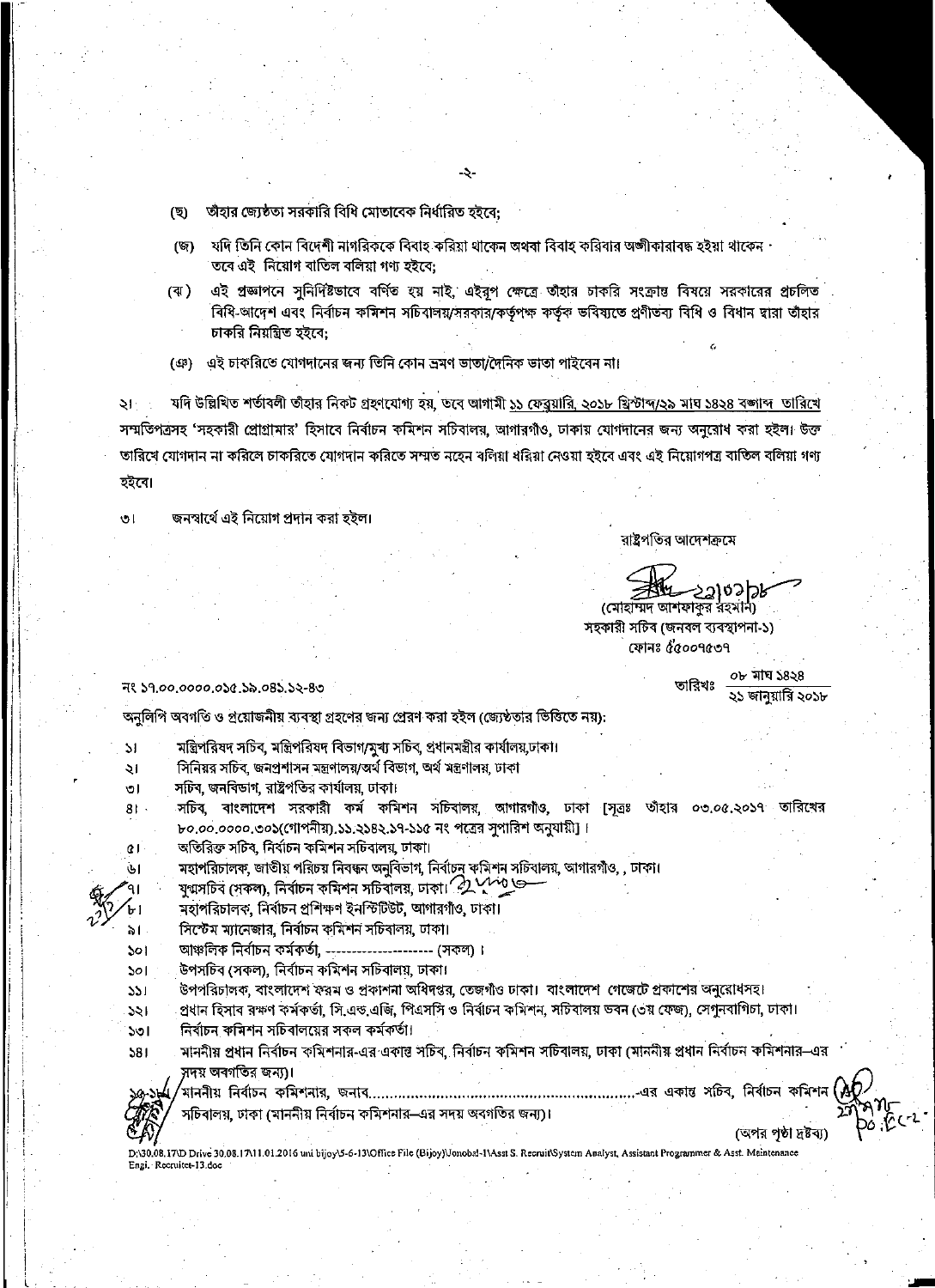- (ছ) তাঁহার জ্যেষ্ঠতা সরকারি বিধি মোতাবেক নির্ধারিত হইবে:
- যদি তিনি কোন বিদেশী নাগরিককে বিবাহ করিয়া থাকেন অথবা বিবাহ করিবার অঙ্গীকারাবদ্ধ হইয়া থাকেন  $(\overline{\mathbb{Q}})$ তৰে এই নিয়োগ বাতিল বলিয়া গণ্য হইবে;
- এই প্রজ্ঞাপনে সুনির্দিষ্টভাবে বর্ণিত হয় নাই, এইরপ ক্ষেত্রে তাঁহার চাকরি সংক্রান্ত বিষয়ে সরকারের প্রচলিত (ৰা ) বিধি-আদেশ এবং নির্বাচন কমিশন সচিবালয়/সরকার/কর্তৃপক্ষ কর্তৃক ভবিষ্যতে প্রণীতব্য বিধি ও বিধান দ্বারা তাঁহার চাকরি নিয়ন্ত্রিত হইবে:
- (ঞ) এই চাকরিতে যোগদানের জন্য তিনি কোন ভ্রমণ ভাতা/দৈনিক ভাতা পাইবেন না।

যদি উল্লিখিত শর্তাবলী তাঁহার নিকট গ্রহণযোগ্য হয়, ডবে আগামী ১১ ফেব্রুয়ারি, ২০১৮ খ্রিস্টাব্দ/২৯ মাঘ ১৪২৪ বঙ্গাব্দ তারিখে ২৷ সম্মতিপত্রসহ 'সহকারী প্রোগ্রামার' হিসাবে নির্বাচন কমিশন সচিবালয়, আগারগাঁও, ঢাকায় যোগদানের জন্য অনরোধ করা হইল। উক্ত তারিখে যোগদান না করিলে চাকরিতে যোগদান করিতে সম্মত নহেন বলিয়া ধরিয়া নেওয়া হইবে এবং এই নিয়োগপত্র বাতিল বলিয়া গণ্য হইবে।

জনস্বার্থে এই নিয়োগ প্রদান করা হইল।  $\mathbf{v}$ 

রাষ্ট্রপতির আদেশক্রমে

5310513 (মোহাম্মদ আশফাকুর রহমান)

তারিখঃ

০৮ মাঘ ১৪২৪

২১ জানয়ারি ২০১৮

সহকারী সচিব (জনবল ব্যবস্থাপনা-১) ফোনঃ ৫৫০০৭৫৩৭

নং ১৭,০০,০০০০,০১৫,১৯,০৪১,১২-৪৩

অনুলিপি অবগতি ও প্রয়োজনীয় ব্যবস্থা গ্রহণের জন্য প্রেরণ করা হইল (জ্যেষ্ঠতার ভিত্তিতে নয়):

মন্ত্রিপরিষদ সচিব, মন্ত্রিপরিষদ বিভাগ/মুখ্য সচিব, প্রধানমন্ত্রীর কার্যালয়,ঢাকা।  $\mathsf{M}$ সিনিয়র সচিব, জনপ্রশাসন মন্ত্রণালয়/অর্থ বিভাগ, অর্থ মন্ত্রণালয়, ঢাকা  $\mathcal{L}$ সচিব, জনবিভাগ, রাষ্ট্রপতির কার্যালয়, ঢাকা। তা সচিব, বাংলাদেশ সরকারী কর্ম কমিশন সচিবালয়, আগারগাঁও, ঢাকা [সূত্রঃ তাঁহার ০৩.০৫.২০১৭ তারিখের  $R1$ . ৮০.০০.০০০০.৩০১(গোপনীয়),১১.২১৪২.১৭-১১৫ নং পত্রের সুপারিশ অনুযায়ী]। অতিরিক্ত সচিব, নির্বাচন কমিশন সচিবালয়, ঢাকা।  $\alpha$ মহাপরিচালক, জাতীয় পরিচয় নিবন্ধন অনুবিভাগ, নির্বাচনু কমিশন সচিবালয়, আগারগাঁও, , ঢাকা। افآ যুগ্মসচিব (সকল), নিৰ্বাচন কমিশন সচিবালয়, ঢাকা।  $\mathcal{D}$  পেন্তু জ্ব মহাপরিচালক, নির্বাচন প্রশিক্ষণ ইনস্টিউট, আগারগাঁও, ঢাকা। সিস্টেম ম্যানেজার, নির্বাচন কমিশন সচিবালয়, ঢাকা। ৯। আঞ্চলিক নির্বাচন কর্মকর্তা, ---------------------- (সকল)। Sol উপসচিব (সকল), নিৰ্বাচন কমিশন সচিবালয়, ঢাকা।  $301$ উপপরিচালক, বাংলাদেশ ফরম ও প্রকাশনা অধিদপ্তর, তেজগীও ঢাকা। বাংলাদেশ গেজেটে প্রকাশের অনুরোধসহ।  $351$ প্রধান হিসাব রক্ষণ কর্মকর্তা, সি.এন্ড.এজি, পিএসসি ও নির্বাচন কমিশন, সচিবালয় ভবন (৩য় ফেজ), সেগুনবাগিচা, ঢাকা।  $551$ নির্বাচন কমিশন সচিবালয়ের সকল কর্মকর্তা। ১৩। মাননীয় প্রধান নির্বাচন কমিশনার-এর একান্ত সচিব, নির্বাচন কমিশন সচিবালয়, ঢাকা (মাননীয় প্রধান নির্বাচন কমিশনার–এর  $381$ সদয় অবগতির জন্য)। ,<br>মাননীয় নির্বাচন কমিশনার, জনাব………………………………………………………...এর একান্ত সচিব, নির্বাচন কমিশন সচিবালয়, ঢাকা (মাননীয় নির্বাচন কমিশনার–এর সদয় অবগতির জন্য)। (অপর পণ্ঠা দ্রষ্টব্য) D;\30.08.17\D Drive 30.08.17\11.01.2016 uni bijoy\5-6-13\Office File (Bijoy)\Jonobal-I\Asst S. Recruit\System Analyst, Assistant Programmer & Asst. Meintenance Engi. Recruitet-13.doc